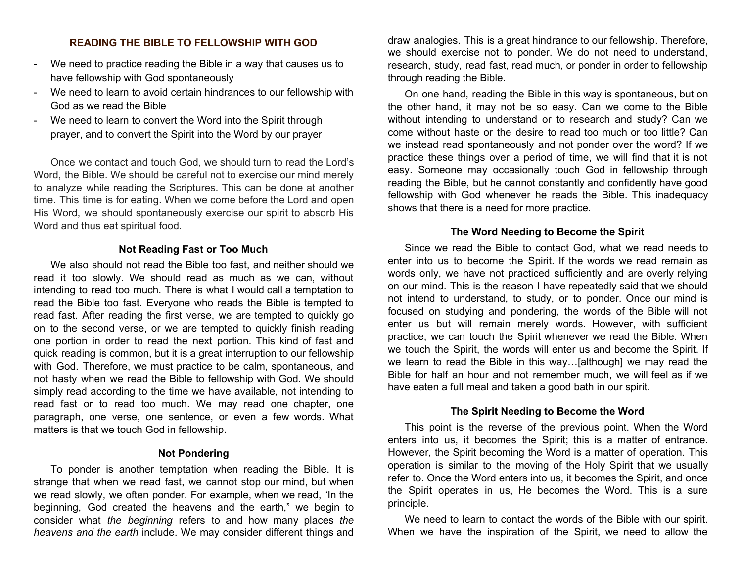### **READING THE BIBLE TO FELLOWSHIP WITH GOD**

- We need to practice reading the Bible in a way that causes us to have fellowship with God spontaneously
- We need to learn to avoid certain hindrances to our fellowship with God as we read the Bible
- We need to learn to convert the Word into the Spirit through prayer, and to convert the Spirit into the Word by our prayer

Once we contact and touch God, we should turn to read the Lord's Word, the Bible. We should be careful not to exercise our mind merely to analyze while reading the Scriptures. This can be done at another time. This time is for eating. When we come before the Lord and open His Word, we should spontaneously exercise our spirit to absorb His Word and thus eat spiritual food.

# **Not Reading Fast or Too Much**

We also should not read the Bible too fast, and neither should we read it too slowly. We should read as much as we can, without intending to read too much. There is what I would call a temptation to read the Bible too fast. Everyone who reads the Bible is tempted to read fast. After reading the first verse, we are tempted to quickly go on to the second verse, or we are tempted to quickly finish reading one portion in order to read the next portion. This kind of fast and quick reading is common, but it is a great interruption to our fellowship with God. Therefore, we must practice to be calm, spontaneous, and not hasty when we read the Bible to fellowship with God. We should simply read according to the time we have available, not intending to read fast or to read too much. We may read one chapter, one paragraph, one verse, one sentence, or even a few words. What matters is that we touch God in fellowship.

# **Not Pondering**

To ponder is another temptation when reading the Bible. It is strange that when we read fast, we cannot stop our mind, but when we read slowly, we often ponder. For example, when we read, "In the beginning, God created the heavens and the earth," we begin to consider what *the beginning* refers to and how many places *the heavens and the earth* include. We may consider different things and

draw analogies. This is a great hindrance to our fellowship. Therefore, we should exercise not to ponder. We do not need to understand, research, study, read fast, read much, or ponder in order to fellowship through reading the Bible.

On one hand, reading the Bible in this way is spontaneous, but on the other hand, it may not be so easy. Can we come to the Bible without intending to understand or to research and study? Can we come without haste or the desire to read too much or too little? Can we instead read spontaneously and not ponder over the word? If we practice these things over a period of time, we will find that it is not easy. Someone may occasionally touch God in fellowship through reading the Bible, but he cannot constantly and confidently have good fellowship with God whenever he reads the Bible. This inadequacy shows that there is a need for more practice.

### **The Word Needing to Become the Spirit**

Since we read the Bible to contact God, what we read needs to enter into us to become the Spirit. If the words we read remain as words only, we have not practiced sufficiently and are overly relying on our mind. This is the reason I have repeatedly said that we should not intend to understand, to study, or to ponder. Once our mind is focused on studying and pondering, the words of the Bible will not enter us but will remain merely words. However, with sufficient practice, we can touch the Spirit whenever we read the Bible. When we touch the Spirit, the words will enter us and become the Spirit. If we learn to read the Bible in this way…[although] we may read the Bible for half an hour and not remember much, we will feel as if we have eaten a full meal and taken a good bath in our spirit.

# **The Spirit Needing to Become the Word**

This point is the reverse of the previous point. When the Word enters into us, it becomes the Spirit; this is a matter of entrance. However, the Spirit becoming the Word is a matter of operation. This operation is similar to the moving of the Holy Spirit that we usually refer to. Once the Word enters into us, it becomes the Spirit, and once the Spirit operates in us, He becomes the Word. This is a sure principle.

We need to learn to contact the words of the Bible with our spirit. When we have the inspiration of the Spirit, we need to allow the